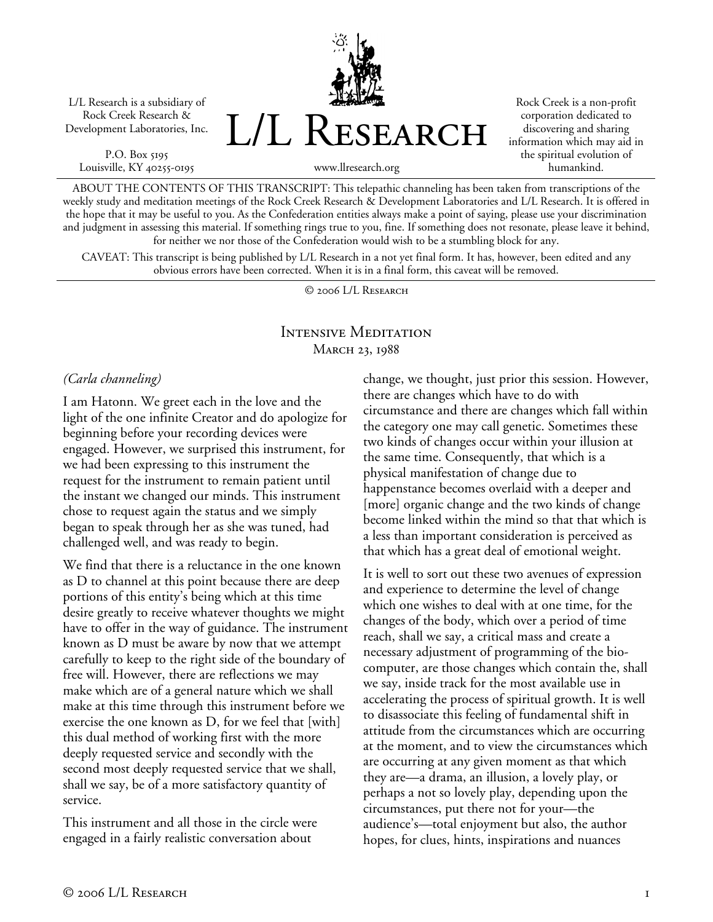L/L Research is a subsidiary of Rock Creek Research & Development Laboratories, Inc.

P.O. Box 5195 Louisville, KY 40255-0195



Rock Creek is a non-profit corporation dedicated to discovering and sharing information which may aid in the spiritual evolution of humankind.

www.llresearch.org

ABOUT THE CONTENTS OF THIS TRANSCRIPT: This telepathic channeling has been taken from transcriptions of the weekly study and meditation meetings of the Rock Creek Research & Development Laboratories and L/L Research. It is offered in the hope that it may be useful to you. As the Confederation entities always make a point of saying, please use your discrimination and judgment in assessing this material. If something rings true to you, fine. If something does not resonate, please leave it behind, for neither we nor those of the Confederation would wish to be a stumbling block for any.

CAVEAT: This transcript is being published by L/L Research in a not yet final form. It has, however, been edited and any obvious errors have been corrected. When it is in a final form, this caveat will be removed.

© 2006 L/L Research

## Intensive Meditation MARCH 23, 1988

## *(Carla channeling)*

I am Hatonn. We greet each in the love and the light of the one infinite Creator and do apologize for beginning before your recording devices were engaged. However, we surprised this instrument, for we had been expressing to this instrument the request for the instrument to remain patient until the instant we changed our minds. This instrument chose to request again the status and we simply began to speak through her as she was tuned, had challenged well, and was ready to begin.

We find that there is a reluctance in the one known as D to channel at this point because there are deep portions of this entity's being which at this time desire greatly to receive whatever thoughts we might have to offer in the way of guidance. The instrument known as D must be aware by now that we attempt carefully to keep to the right side of the boundary of free will. However, there are reflections we may make which are of a general nature which we shall make at this time through this instrument before we exercise the one known as D, for we feel that [with] this dual method of working first with the more deeply requested service and secondly with the second most deeply requested service that we shall, shall we say, be of a more satisfactory quantity of service.

This instrument and all those in the circle were engaged in a fairly realistic conversation about

change, we thought, just prior this session. However, there are changes which have to do with circumstance and there are changes which fall within the category one may call genetic. Sometimes these two kinds of changes occur within your illusion at the same time. Consequently, that which is a physical manifestation of change due to happenstance becomes overlaid with a deeper and [more] organic change and the two kinds of change become linked within the mind so that that which is a less than important consideration is perceived as that which has a great deal of emotional weight.

It is well to sort out these two avenues of expression and experience to determine the level of change which one wishes to deal with at one time, for the changes of the body, which over a period of time reach, shall we say, a critical mass and create a necessary adjustment of programming of the biocomputer, are those changes which contain the, shall we say, inside track for the most available use in accelerating the process of spiritual growth. It is well to disassociate this feeling of fundamental shift in attitude from the circumstances which are occurring at the moment, and to view the circumstances which are occurring at any given moment as that which they are—a drama, an illusion, a lovely play, or perhaps a not so lovely play, depending upon the circumstances, put there not for your—the audience's—total enjoyment but also, the author hopes, for clues, hints, inspirations and nuances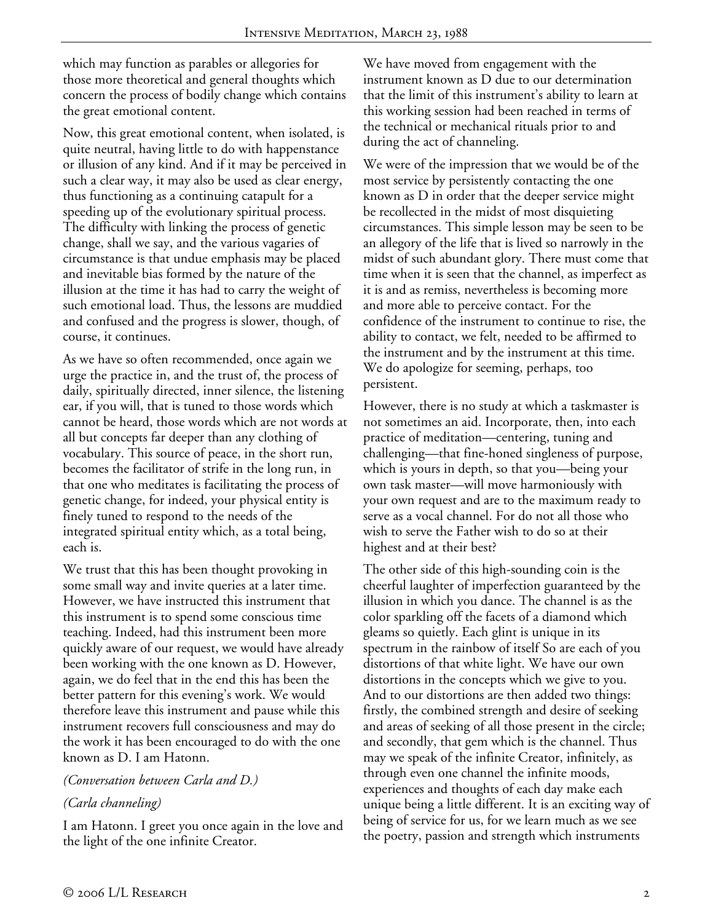which may function as parables or allegories for those more theoretical and general thoughts which concern the process of bodily change which contains the great emotional content.

Now, this great emotional content, when isolated, is quite neutral, having little to do with happenstance or illusion of any kind. And if it may be perceived in such a clear way, it may also be used as clear energy, thus functioning as a continuing catapult for a speeding up of the evolutionary spiritual process. The difficulty with linking the process of genetic change, shall we say, and the various vagaries of circumstance is that undue emphasis may be placed and inevitable bias formed by the nature of the illusion at the time it has had to carry the weight of such emotional load. Thus, the lessons are muddied and confused and the progress is slower, though, of course, it continues.

As we have so often recommended, once again we urge the practice in, and the trust of, the process of daily, spiritually directed, inner silence, the listening ear, if you will, that is tuned to those words which cannot be heard, those words which are not words at all but concepts far deeper than any clothing of vocabulary. This source of peace, in the short run, becomes the facilitator of strife in the long run, in that one who meditates is facilitating the process of genetic change, for indeed, your physical entity is finely tuned to respond to the needs of the integrated spiritual entity which, as a total being, each is.

We trust that this has been thought provoking in some small way and invite queries at a later time. However, we have instructed this instrument that this instrument is to spend some conscious time teaching. Indeed, had this instrument been more quickly aware of our request, we would have already been working with the one known as D. However, again, we do feel that in the end this has been the better pattern for this evening's work. We would therefore leave this instrument and pause while this instrument recovers full consciousness and may do the work it has been encouraged to do with the one known as D. I am Hatonn.

## *(Conversation between Carla and D.)*

## *(Carla channeling)*

I am Hatonn. I greet you once again in the love and the light of the one infinite Creator.

We have moved from engagement with the instrument known as D due to our determination that the limit of this instrument's ability to learn at this working session had been reached in terms of the technical or mechanical rituals prior to and during the act of channeling.

We were of the impression that we would be of the most service by persistently contacting the one known as D in order that the deeper service might be recollected in the midst of most disquieting circumstances. This simple lesson may be seen to be an allegory of the life that is lived so narrowly in the midst of such abundant glory. There must come that time when it is seen that the channel, as imperfect as it is and as remiss, nevertheless is becoming more and more able to perceive contact. For the confidence of the instrument to continue to rise, the ability to contact, we felt, needed to be affirmed to the instrument and by the instrument at this time. We do apologize for seeming, perhaps, too persistent.

However, there is no study at which a taskmaster is not sometimes an aid. Incorporate, then, into each practice of meditation—centering, tuning and challenging—that fine-honed singleness of purpose, which is yours in depth, so that you—being your own task master—will move harmoniously with your own request and are to the maximum ready to serve as a vocal channel. For do not all those who wish to serve the Father wish to do so at their highest and at their best?

The other side of this high-sounding coin is the cheerful laughter of imperfection guaranteed by the illusion in which you dance. The channel is as the color sparkling off the facets of a diamond which gleams so quietly. Each glint is unique in its spectrum in the rainbow of itself So are each of you distortions of that white light. We have our own distortions in the concepts which we give to you. And to our distortions are then added two things: firstly, the combined strength and desire of seeking and areas of seeking of all those present in the circle; and secondly, that gem which is the channel. Thus may we speak of the infinite Creator, infinitely, as through even one channel the infinite moods, experiences and thoughts of each day make each unique being a little different. It is an exciting way of being of service for us, for we learn much as we see the poetry, passion and strength which instruments